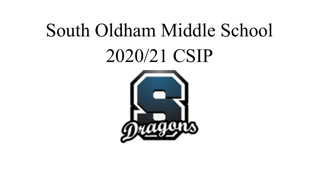## South Oldham Middle School 2020/21 CSIP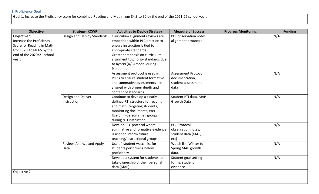## **1: Proficiency Goal**

Goal 1: Increase the Proficiency score for combined Reading and Math from 84.3 to 90 by the end of the 2021-22 school year.

| <b>Objective</b>          | <b>Strategy (KCWP)</b>      | <b>Activities to Deploy Strategy</b> | <b>Measure of Success</b>  | <b>Progress Monitoring</b> | <b>Funding</b> |
|---------------------------|-----------------------------|--------------------------------------|----------------------------|----------------------------|----------------|
| Objective 1               | Design and Deploy Standards | Curriculum alignment reviews are     | PLC observation notes,     |                            | N/A            |
| Increase the Proficiency  |                             | embedded within PLC practice to      | alignment protocols        |                            |                |
| Score for Reading in Math |                             | ensure instruction is tied to        |                            |                            |                |
| from 87.3 to 88.65 by the |                             | appropriate standards                |                            |                            |                |
| end of the 2020/21 school |                             | Greater emphasis on curriculum       |                            |                            |                |
| year.                     |                             | alignment to priority standards due  |                            |                            |                |
|                           |                             | to hybrid (A/B) model during         |                            |                            |                |
|                           |                             | Pandemic                             |                            |                            |                |
|                           |                             | Assessment protocol is used in       | <b>Assessment Protocol</b> |                            | N/A            |
|                           |                             | PLC's to ensure student formative    | documentation,             |                            |                |
|                           |                             | and summative assessments are        | student assessment         |                            |                |
|                           |                             | aligned with proper depth and        | data                       |                            |                |
|                           |                             | content of standards                 |                            |                            |                |
|                           | Design and Deliver          | Continue to develop a clearly        | Student RTI data, MAP      |                            | N/A            |
|                           | Instruction                 | defined RTI structure for reading    | <b>Growth Data</b>         |                            |                |
|                           |                             | and math (targeting students,        |                            |                            |                |
|                           |                             | monitoring documents, etc)           |                            |                            |                |
|                           |                             | Use of in-person small groups        |                            |                            |                |
|                           |                             | during NTI Instruction               |                            |                            |                |
|                           |                             | Develop PLC protocol where           | PLC Protocol,              |                            | N/A            |
|                           |                             | summative and formative evidence     | observation notes,         |                            |                |
|                           |                             | is used to inform future             | student data (MAP,         |                            |                |
|                           |                             | teaching/instructional groups        | etc)                       |                            |                |
|                           | Review, Analyze and Apply   | Use of student watch list for        | Watch list, Winter to      |                            | N/A            |
|                           | Data                        | students performing below            | Spring MAP growth          |                            |                |
|                           |                             | proficiency                          | data.                      |                            |                |
|                           |                             | Develop a system for students to     | Student goal setting       |                            | N/A            |
|                           |                             | take ownership of their personal     | forms, student             |                            |                |
|                           |                             | data (MAP)                           | evidence                   |                            |                |
| Objective 2               |                             |                                      |                            |                            |                |
|                           |                             |                                      |                            |                            |                |
|                           |                             |                                      |                            |                            |                |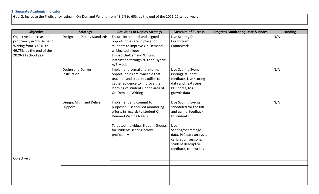## **2: Separate Academic Indicator**

Goal 2: Increase the Proficiency rating in On-Demand Writing from 43.6% to 60% by the end of the 2021-22 school year.

| <b>Objective</b>          | <b>Strategy</b>             | <b>Activities to Deploy Strategy</b>      | <b>Measure of Success</b> | <b>Progress Monitoring Date &amp; Notes</b> | <b>Funding</b> |
|---------------------------|-----------------------------|-------------------------------------------|---------------------------|---------------------------------------------|----------------|
| Objective 1: Increase the | Design and Deploy Standards | Ensure intentional and aligned            | Live Scoring Data,        |                                             | N/A            |
| proficiency in On-Demand  |                             | opportunities are in place for            | Curriculum                |                                             |                |
| Writing from 39.3% to     |                             | students to improve On-Demand             | Framework,                |                                             |                |
| 49.75% by the end of the  |                             | writing technique                         |                           |                                             |                |
| 2020/21 school year.      |                             | <b>Embed On-Demand Writing</b>            |                           |                                             |                |
|                           |                             | instruction through NTI and Hybrid        |                           |                                             |                |
|                           |                             | A/B Model                                 |                           |                                             |                |
|                           | Design and Deliver          | Implement formal and informal             | Live Scoring Event        |                                             | N/A            |
|                           | Instruction                 | opportunities are available that          | (spring), student         |                                             |                |
|                           |                             | teachers and students utilize to          | feedback, Live scoring    |                                             |                |
|                           |                             | gather evidence to improve the            | data and next steps,      |                                             |                |
|                           |                             | learning of students in the area of       | PLC notes, MAP            |                                             |                |
|                           |                             | <b>On-Demand Writing</b>                  | growth data               |                                             |                |
|                           |                             |                                           |                           |                                             |                |
|                           | Design, Align, and Deliver  | Implement and commit to                   | Live Scoring Events       |                                             | N/A            |
|                           | Support                     | purposeful, scheduled monitoring          | scheduled for the fall    |                                             |                |
|                           |                             | efforts in regards to student On-         | and spring, feedback      |                                             |                |
|                           |                             | <b>Demand Writing Needs</b>               | to students               |                                             |                |
|                           |                             | <b>Targeted Individual Student Groups</b> | Live                      |                                             |                |
|                           |                             | for students scoring below                | Scoring/Scrimmage         |                                             |                |
|                           |                             | proficiency                               | data, PLC data analysis,  |                                             |                |
|                           |                             |                                           | calibration sessions,     |                                             |                |
|                           |                             |                                           | student descriptive       |                                             |                |
|                           |                             |                                           | feedback, cold writes     |                                             |                |
|                           |                             |                                           |                           |                                             |                |
| Objective 2               |                             |                                           |                           |                                             |                |
|                           |                             |                                           |                           |                                             |                |
|                           |                             |                                           |                           |                                             |                |
|                           |                             |                                           |                           |                                             |                |
|                           |                             |                                           |                           |                                             |                |
|                           |                             |                                           |                           |                                             |                |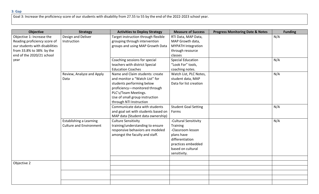Goal 3: Increase the proficiency score of our students with disability from 27.55 to 55 by the end of the 2022-2023 school year.

| <b>Objective</b>               | <b>Strategy</b>                | <b>Activities to Deploy Strategy</b> | <b>Measure of Success</b>   | <b>Progress Monitoring Date &amp; Notes</b> | <b>Funding</b> |
|--------------------------------|--------------------------------|--------------------------------------|-----------------------------|---------------------------------------------|----------------|
| Objective 1: Increase the      | Design and Deliver             | Target instruction through flexible  | RTI Data, MAP Data,         |                                             | N/A            |
| Reading proficiency score of   | Instruction                    | grouping through intervention        | MAP Growth data,            |                                             |                |
| our students with disabilities |                                | groups and using MAP Growth Data     | <b>MYPATH Integration</b>   |                                             |                |
| from 33.8% to 38% by the       |                                |                                      | through resource            |                                             |                |
| end of the 2020/21 school      |                                |                                      | classes                     |                                             |                |
| year                           |                                | Coaching sessions for special        | <b>Special Education</b>    |                                             | N/A            |
|                                |                                | teachers with district Special       | "Look For" tools,           |                                             |                |
|                                |                                | <b>Education Coaches</b>             | coaching notes.             |                                             |                |
|                                | Review, Analyze and Apply      | Name and Claim students: create      | Watch List, PLC Notes,      |                                             | N/A            |
|                                | Data                           | and monitor a "Watch List" for       | student data, MAP           |                                             |                |
|                                |                                | students performing below            | Data for list creation      |                                             |                |
|                                |                                | proficiency-monitored through        |                             |                                             |                |
|                                |                                | PLC's/Team Meetings.                 |                             |                                             |                |
|                                |                                | Use of small group instruction       |                             |                                             |                |
|                                |                                | through NTI Instruction              |                             |                                             |                |
|                                |                                | Communicate data with students       | <b>Student Goal Setting</b> |                                             | N/A            |
|                                |                                | and goal set with students based on  | Forms                       |                                             |                |
|                                |                                | MAP data (Student data ownership)    |                             |                                             |                |
|                                | Establishing a Learning        | <b>Culture Sensitivity</b>           | -Cultural Sensitivity       |                                             | N/A            |
|                                | <b>Culture and Environment</b> | training/understanding to ensure     | <b>Training</b>             |                                             |                |
|                                |                                | responsive behaviors are modeled     | -Classroom lesson           |                                             |                |
|                                |                                | amongst the faculty and staff.       | plans have                  |                                             |                |
|                                |                                |                                      | differentiation             |                                             |                |
|                                |                                |                                      | practices embedded          |                                             |                |
|                                |                                |                                      | based on cultural           |                                             |                |
|                                |                                |                                      | sensitivity.                |                                             |                |
|                                |                                |                                      |                             |                                             |                |
| Objective 2                    |                                |                                      |                             |                                             |                |
|                                |                                |                                      |                             |                                             |                |
|                                |                                |                                      |                             |                                             |                |
|                                |                                |                                      |                             |                                             |                |
|                                |                                |                                      |                             |                                             |                |